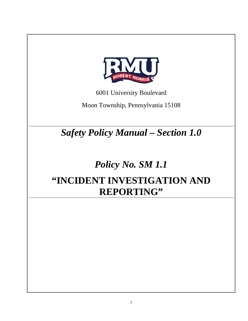

6001 University Boulevard

Moon Township, Pennsylvania 15108

*Safety Policy Manual – Section 1.0*

# *Policy No. SM 1.1* **"INCIDENT INVESTIGATION AND REPORTING"**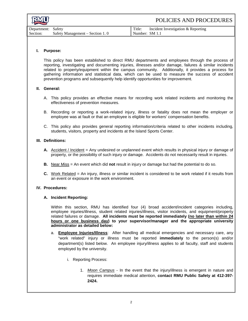| RMU                | POLICIES AND PROCEDURES                      |
|--------------------|----------------------------------------------|
| Department: Safety | Incident Investigation & Reporting<br>Title: |

### Section: Safety Management – Section 1. 0 Number: SM 1.1

## **I. Purpose:**

This policy has been established to direct RMU departments and employees through the process of reporting, investigating and documenting injuries, illnesses and/or damage, failures & similar incidents related to property/equipment within the campus community. Additionally, it provides a process for gathering information and statistical data, which can be used to measure the success of accident prevention programs and subsequently help identify opportunities for improvement.

### **II. General:**

- A. This policy provides an effective means for recording work related incidents and monitoring the effectiveness of prevention measures.
- B. Recording or reporting a work-related injury, illness or fatality does not mean the employer or employee was at fault or that an employee is eligible for workers' compensation benefits.
- C. This policy also provides general reporting information/criteria related to other incidents including, students, visitors, property and incidents at the Island Sports Center.

## **III. Definitions:**

- **A.** Accident / Incident = Any undesired or unplanned event which results in physical injury or damage of property, or the possibility of such injury or damage. Accidents do not necessarily result in injuries.
- **B.** Near Miss = An event which did **not** result in injury or damage but had the potential to do so.
- **C.** Work Related = An injury, illness or similar incident is considered to be work related if it results from an event or exposure in the work environment.

#### **IV. Procedures:**

#### **A. Incident Reporting:**

Within this section, RMU has identified four (4) broad accident/incident categories including, employee injuries/illness, student related injuries/illness, visitor incidents, and equipment/property related failures or damage. **All incidents must be reported immediately (no later than within 24 hours or one business day) to your supervisor/manager and the appropriate university administrator as detailed below:**

- a. **Employee Injuries/Illness**: After handling all medical emergencies and necessary care, any "work related" injury or illness must be reported **immediately** to the person(s) and/or department(s) listed below. An employee injury/illness applies to all faculty, staff and students employed by the university.
	- i. Reporting Process:
		- 1. *Moon Campus* In the event that the injury/illness is emergent in nature and requires immediate medical attention, **contact RMU Public Safety at 412-397- 2424.**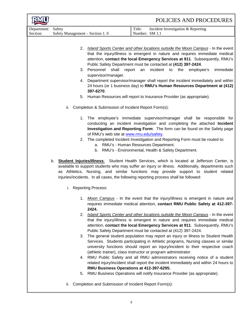|                         |                                                                                                                                                                                                                                                                                                                                                                                           |                                                       | POLICIES AND PROCEDURES                                                                                                                                                                                                                                                                                                    |  |
|-------------------------|-------------------------------------------------------------------------------------------------------------------------------------------------------------------------------------------------------------------------------------------------------------------------------------------------------------------------------------------------------------------------------------------|-------------------------------------------------------|----------------------------------------------------------------------------------------------------------------------------------------------------------------------------------------------------------------------------------------------------------------------------------------------------------------------------|--|
| Department:<br>Section: | Safety<br>Safety Management - Section 1.0                                                                                                                                                                                                                                                                                                                                                 |                                                       | Title:<br>Incident Investigation & Reporting<br>Number: SM 1.1                                                                                                                                                                                                                                                             |  |
|                         |                                                                                                                                                                                                                                                                                                                                                                                           |                                                       |                                                                                                                                                                                                                                                                                                                            |  |
|                         | 2.                                                                                                                                                                                                                                                                                                                                                                                        |                                                       | Island Sports Center and other locations outside the Moon Campus - In the event<br>that the injury/illness is emergent in nature and requires immediate medical<br>attention, contact the local Emergency Services at 911. Subsequently, RMU's<br>Public Safety Department must be contacted at (412) 397-2424.            |  |
|                         |                                                                                                                                                                                                                                                                                                                                                                                           | 3. Personnel shall<br>report<br>supervisor/manager.   | incident to the<br>immediate<br>an<br>employee's                                                                                                                                                                                                                                                                           |  |
|                         |                                                                                                                                                                                                                                                                                                                                                                                           | 397-6270.                                             | 4. Department supervisor/manager shall report the incident immediately and within<br>24 hours (or 1 business day) to RMU's Human Resources Department at (412)                                                                                                                                                             |  |
|                         |                                                                                                                                                                                                                                                                                                                                                                                           |                                                       | 5. Human Resources will report to Insurance Provider (as appropriate).                                                                                                                                                                                                                                                     |  |
|                         | ii.                                                                                                                                                                                                                                                                                                                                                                                       | Completion & Submission of Incident Report Form(s):   |                                                                                                                                                                                                                                                                                                                            |  |
|                         |                                                                                                                                                                                                                                                                                                                                                                                           | of RMU's web site at www.rmu.edu/safety.              | 1. The employee's immediate supervisor/manager shall be responsible for<br>conducting an incident investigation and completing the attached Incident<br>Investigation and Reporting Form: The form can be found on the Safety page                                                                                         |  |
|                         |                                                                                                                                                                                                                                                                                                                                                                                           | b.                                                    | 2. The completed Incident Investigation and Reporting Form must be routed to:<br>a. RMU's - Human Resources Department.<br>RMU's - Environmental, Health & Safety Department.                                                                                                                                              |  |
|                         | b. <b>Student Injuries/Illness:</b> Student Health Services, which is located at Jefferson Center, is<br>available to support students who may suffer an injury or illness. Additionally, departments such<br>as Athletics, Nursing, and similar functions may provide support to student related<br>injuries/incidents. In all cases, the following reporting process shall be followed: |                                                       |                                                                                                                                                                                                                                                                                                                            |  |
|                         | <b>Reporting Process:</b><br>i.                                                                                                                                                                                                                                                                                                                                                           |                                                       |                                                                                                                                                                                                                                                                                                                            |  |
|                         | 1.                                                                                                                                                                                                                                                                                                                                                                                        | 2424.                                                 | Moon Campus - In the event that the injury/illness is emergent in nature and<br>requires immediate medical attention, contact RMU Public Safety at 412-397-                                                                                                                                                                |  |
|                         | 2.                                                                                                                                                                                                                                                                                                                                                                                        |                                                       | Island Sports Center and other locations outside the Moon Campus - In the event<br>that the injury/illness is emergent in nature and requires immediate medical<br>attention, contact the local Emergency Services at 911. Subsequently, RMU's<br>Public Safety Department must be contacted at (412) 397-2424.            |  |
|                         | 3.                                                                                                                                                                                                                                                                                                                                                                                        |                                                       | The general student population may report an injury or illness to Student Health<br>Services. Students participating in Athletic programs, Nursing classes or similar<br>university functions should report an injury/incident to their respective coach<br>(athletic trainer), class instructor or program administrator. |  |
|                         | 4.                                                                                                                                                                                                                                                                                                                                                                                        | RMU Business Operations at 412-397-6295.              | RMU Public Safety and all RMU administrators receiving notice of a student<br>related injury/incident shall report the incident immediately and within 24 hours to                                                                                                                                                         |  |
|                         | 5.<br>ii.                                                                                                                                                                                                                                                                                                                                                                                 | Completion and Submission of Incident Report Form(s): | RMU Business Operations will notify Insurance Provider (as appropriate).                                                                                                                                                                                                                                                   |  |
|                         |                                                                                                                                                                                                                                                                                                                                                                                           |                                                       |                                                                                                                                                                                                                                                                                                                            |  |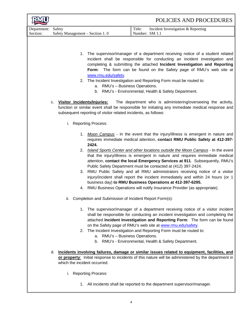|                         |                                           | POLICIES AND PROCEDURES                                                                                                                                                                                                                                                                                                                                                                                                                                                                                                                                                                                                                                                      |
|-------------------------|-------------------------------------------|------------------------------------------------------------------------------------------------------------------------------------------------------------------------------------------------------------------------------------------------------------------------------------------------------------------------------------------------------------------------------------------------------------------------------------------------------------------------------------------------------------------------------------------------------------------------------------------------------------------------------------------------------------------------------|
| Department:<br>Section: | Safety<br>Safety Management - Section 1.0 | Title:<br>Incident Investigation & Reporting<br>Number: SM 1.1                                                                                                                                                                                                                                                                                                                                                                                                                                                                                                                                                                                                               |
|                         | а.<br>Visitor Incidents/Injuries:<br>c.   | 1. The supervisor/manager of a department receiving notice of a student related<br>incident shall be responsible for conducting an incident investigation and<br>completing & submitting the attached Incident Investigation and Reporting<br>Form: The form can be found on the Safety page of RMU's web site at<br>www.rmu.edu/safety.<br>2. The Incident Investigation and Reporting Form must be routed to:<br>RMU's - Business Operations.<br>b. RMU's - Environmental, Health & Safety Department.<br>The department who is administering/overseeing the activity,<br>function or similar event shall be responsible for initiating any immediate medical response and |
|                         | i.<br><b>Reporting Process:</b>           | subsequent reporting of visitor related incidents, as follows:                                                                                                                                                                                                                                                                                                                                                                                                                                                                                                                                                                                                               |
|                         | 1.<br>2424.                               | Moon Campus - In the event that the injury/illness is emergent in nature and<br>requires immediate medical attention, contact RMU Public Safety at 412-397-                                                                                                                                                                                                                                                                                                                                                                                                                                                                                                                  |
|                         | 2.<br>3.<br>4.                            | Island Sports Center and other locations outside the Moon Campus - In the event<br>that the injury/illness is emergent in nature and requires immediate medical<br>attention, contact the local Emergency Services at 911. Subsequently, RMU's<br>Public Safety Department must be contacted at (412) 397-2424.<br>RMU Public Safety and all RMU administrators receiving notice of a visitor<br>injury/incident shall report the incident immediately and within 24 hours (or 1<br>business day) to RMU Business Operations at 412-397-6295.<br>RMU Business Operations will notify Insurance Provider (as appropriate).                                                    |
|                         | ii.                                       | Completion and Submission of Incident Report Form(s):                                                                                                                                                                                                                                                                                                                                                                                                                                                                                                                                                                                                                        |
|                         | 1.<br>2.                                  | The supervisor/manager of a department receiving notice of a visitor incident<br>shall be responsible for conducting an incident investigation and completing the<br>attached Incident Investigation and Reporting Form: The form can be found<br>on the Safety page of RMU's web site at www.rmu.edu/safety.<br>The Incident Investigation and Reporting Form must be routed to:<br>a. RMU's - Business Operations.<br>b. RMU's - Environmental, Health & Safety Department.                                                                                                                                                                                                |
|                         | d.<br>which the incident occurred.        | Incidents involving failures, damage or similar issues related to equipment, facilities, and<br>or property: Initial response to incidents of this nature will be administered by the department in                                                                                                                                                                                                                                                                                                                                                                                                                                                                          |
|                         | <b>Reporting Process:</b><br>ı.           |                                                                                                                                                                                                                                                                                                                                                                                                                                                                                                                                                                                                                                                                              |

1. All incidents shall be reported to the department supervisor/manager.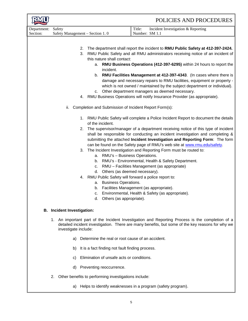|                                   | POLICIES AND PROCEDURES                                                                                                                                                                                                                                                                                                                                                                                                                                                                                                                                                                                                                                                                                                                                                                                                                                                                                                                                                                                                      |  |  |  |
|-----------------------------------|------------------------------------------------------------------------------------------------------------------------------------------------------------------------------------------------------------------------------------------------------------------------------------------------------------------------------------------------------------------------------------------------------------------------------------------------------------------------------------------------------------------------------------------------------------------------------------------------------------------------------------------------------------------------------------------------------------------------------------------------------------------------------------------------------------------------------------------------------------------------------------------------------------------------------------------------------------------------------------------------------------------------------|--|--|--|
| Department:<br>Section:           | Title:<br>Safety<br>Incident Investigation & Reporting<br>Number: SM 1.1<br>Safety Management - Section 1.0                                                                                                                                                                                                                                                                                                                                                                                                                                                                                                                                                                                                                                                                                                                                                                                                                                                                                                                  |  |  |  |
|                                   | The department shall report the incident to RMU Public Safety at 412-397-2424.<br>2.<br>RMU Public Safety and all RMU administrators receiving notice of an incident of<br>3.<br>this nature shall contact:<br>a. RMU Business Operations (412-397-6295) within 24 hours to report the<br>incident.<br>b. RMU Facilities Management at 412-397-4343. (In cases where there is<br>damage and necessary repairs to RMU facilities, equipment or property -<br>which is not owned / maintained by the subject department or individual).<br>c. Other department managers as deemed necessary.<br>4. RMU Business Operations will notify Insurance Provider (as appropriate).                                                                                                                                                                                                                                                                                                                                                    |  |  |  |
|                                   | Completion and Submission of Incident Report Form(s):<br>ii.<br>1. RMU Public Safety will complete a Police Incident Report to document the details<br>of the incident.<br>The supervisor/manager of a department receiving notice of this type of incident<br>2.<br>shall be responsible for conducting an incident investigation and completing &<br>submitting the attached Incident Investigation and Reporting Form: The form<br>can be found on the Safety page of RMU's web site at www.rmu.edu/safety.<br>The Incident Investigation and Reporting Form must be routed to:<br>3.<br>RMU's - Business Operations.<br>а.<br>RMU's - Environmental, Health & Safety Department.<br>b.<br>c. RMU - Facilities Management (as appropriate)<br>d. Others (as deemed necessary).<br>4. RMU Public Safety will forward a police report to:<br><b>Business Operations.</b><br>а.<br>Facilities Management (as appropriate).<br>b.<br>Environmental, Health & Safety (as appropriate).<br>c.<br>Others (as appropriate).<br>d. |  |  |  |
| <b>B.</b> Incident Investigation: |                                                                                                                                                                                                                                                                                                                                                                                                                                                                                                                                                                                                                                                                                                                                                                                                                                                                                                                                                                                                                              |  |  |  |
|                                   | 1. An important part of the Incident Investigation and Reporting Process is the completion of a<br>detailed incident investigation. There are many benefits, but some of the key reasons for why we<br>investigate include:                                                                                                                                                                                                                                                                                                                                                                                                                                                                                                                                                                                                                                                                                                                                                                                                  |  |  |  |
|                                   | Determine the real or root cause of an accident.<br>a)                                                                                                                                                                                                                                                                                                                                                                                                                                                                                                                                                                                                                                                                                                                                                                                                                                                                                                                                                                       |  |  |  |
|                                   | It is a fact finding not fault finding process.<br>b)                                                                                                                                                                                                                                                                                                                                                                                                                                                                                                                                                                                                                                                                                                                                                                                                                                                                                                                                                                        |  |  |  |
|                                   | Elimination of unsafe acts or conditions.<br>C)                                                                                                                                                                                                                                                                                                                                                                                                                                                                                                                                                                                                                                                                                                                                                                                                                                                                                                                                                                              |  |  |  |
|                                   | Preventing reoccurrence.<br>d)<br>Other benefits to performing investigations include:<br>2.                                                                                                                                                                                                                                                                                                                                                                                                                                                                                                                                                                                                                                                                                                                                                                                                                                                                                                                                 |  |  |  |
|                                   | Helps to identify weaknesses in a program (safety program).<br>a)                                                                                                                                                                                                                                                                                                                                                                                                                                                                                                                                                                                                                                                                                                                                                                                                                                                                                                                                                            |  |  |  |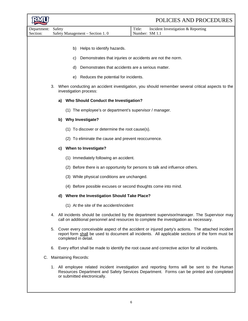|                         |    |        |                                                                 | POLICIES AND PROCEDURES                                                                                                                                                                                 |
|-------------------------|----|--------|-----------------------------------------------------------------|---------------------------------------------------------------------------------------------------------------------------------------------------------------------------------------------------------|
| Department:<br>Section: |    | Safety | Safety Management - Section 1.0                                 | Title:<br>Incident Investigation & Reporting<br>Number: SM 1.1                                                                                                                                          |
|                         |    |        |                                                                 |                                                                                                                                                                                                         |
|                         |    |        | Helps to identify hazards.<br>b)                                |                                                                                                                                                                                                         |
|                         |    |        | Demonstrates that injuries or accidents are not the norm.<br>C) |                                                                                                                                                                                                         |
|                         |    |        | Demonstrates that accidents are a serious matter.<br>d)         |                                                                                                                                                                                                         |
|                         |    |        | Reduces the potential for incidents.<br>e)                      |                                                                                                                                                                                                         |
|                         |    |        | investigation process:                                          | 3. When conducting an accident investigation, you should remember several critical aspects to the                                                                                                       |
|                         |    | a)     | <b>Who Should Conduct the Investigation?</b>                    |                                                                                                                                                                                                         |
|                         |    |        | (1) The employee's or department's supervisor / manager.        |                                                                                                                                                                                                         |
|                         |    |        | b) Why Investigate?                                             |                                                                                                                                                                                                         |
|                         |    |        | (1) To discover or determine the root cause(s).                 |                                                                                                                                                                                                         |
|                         |    |        | (2) To eliminate the cause and prevent reoccurrence.            |                                                                                                                                                                                                         |
|                         |    | C)     | When to Investigate?                                            |                                                                                                                                                                                                         |
|                         |    |        | Immediately following an accident.<br>(1)                       |                                                                                                                                                                                                         |
|                         |    |        | (2)                                                             | Before there is an opportunity for persons to talk and influence others.                                                                                                                                |
|                         |    |        | (3) While physical conditions are unchanged.                    |                                                                                                                                                                                                         |
|                         |    |        | (4) Before possible excuses or second thoughts come into mind.  |                                                                                                                                                                                                         |
|                         |    |        | d) Where the Investigation Should Take Place?                   |                                                                                                                                                                                                         |
|                         |    |        | (1) At the site of the accident/incident                        |                                                                                                                                                                                                         |
|                         |    |        |                                                                 | 4. All incidents should be conducted by the department supervisor/manager. The Supervisor may<br>call on additional personnel and resources to complete the investigation as necessary.                 |
|                         |    |        | completed in detail.                                            | 5. Cover every conceivable aspect of the accident or injured party's actions. The attached incident<br>report form shall be used to document all incidents. All applicable sections of the form must be |
|                         | 6. |        |                                                                 | Every effort shall be made to identify the root cause and corrective action for all incidents.                                                                                                          |
| C.                      |    |        | <b>Maintaining Records:</b>                                     |                                                                                                                                                                                                         |
|                         |    |        | or submitted electronically.                                    | 1. All employee related incident investigation and reporting forms will be sent to the Human<br>Resources Department and Safety Services Department. Forms can be printed and completed                 |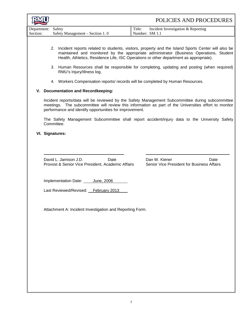|                                |                                                                                                                                                                                                                                                                                                                                                                                            | POLICIES AND PROCEDURES                                                                       |  |  |  |
|--------------------------------|--------------------------------------------------------------------------------------------------------------------------------------------------------------------------------------------------------------------------------------------------------------------------------------------------------------------------------------------------------------------------------------------|-----------------------------------------------------------------------------------------------|--|--|--|
| Department: Safety<br>Section: | Safety Management - Section 1.0                                                                                                                                                                                                                                                                                                                                                            | Title:<br>Incident Investigation & Reporting<br>Number: SM 1.1                                |  |  |  |
|                                | 2. Incident reports related to students, visitors, property and the Island Sports Center will also be<br>maintained and monitored by the appropriate administrator (Business Operations, Student<br>Health, Athletics, Residence Life, ISC Operations or other department as appropriate).<br>3. Human Resources shall be responsible for completing, updating and posting (when required) |                                                                                               |  |  |  |
|                                | RMU's Injury/Illness log.                                                                                                                                                                                                                                                                                                                                                                  |                                                                                               |  |  |  |
|                                | 4. Workers Compensation reports/ records will be completed by Human Resources.<br>V. Documentation and Recordkeeping:                                                                                                                                                                                                                                                                      |                                                                                               |  |  |  |
|                                | Incident reports/data will be reviewed by the Safety Management Subcommittee during subcommittee<br>meetings. The subcommittee will review this information as part of the Universities effort to monitor<br>performance and identify opportunities for improvement.                                                                                                                       |                                                                                               |  |  |  |
|                                | Committee.                                                                                                                                                                                                                                                                                                                                                                                 | The Safety Management Subcommittee shall report accident/injury data to the University Safety |  |  |  |
|                                | VI. Signatures:                                                                                                                                                                                                                                                                                                                                                                            |                                                                                               |  |  |  |
|                                |                                                                                                                                                                                                                                                                                                                                                                                            |                                                                                               |  |  |  |
|                                | David L. Jamison J.D.<br>Date<br>Provost & Senior Vice President, Academic Affairs                                                                                                                                                                                                                                                                                                         | Dan W. Kiener<br>Date<br>Senior Vice President for Business Affairs                           |  |  |  |
|                                | Implementation Date: June, 2006                                                                                                                                                                                                                                                                                                                                                            |                                                                                               |  |  |  |
|                                | Last Reviewed/Revised: February 2013                                                                                                                                                                                                                                                                                                                                                       |                                                                                               |  |  |  |
|                                | Attachment A: Incident Investigation and Reporting Form.                                                                                                                                                                                                                                                                                                                                   |                                                                                               |  |  |  |
|                                |                                                                                                                                                                                                                                                                                                                                                                                            |                                                                                               |  |  |  |
|                                |                                                                                                                                                                                                                                                                                                                                                                                            |                                                                                               |  |  |  |
|                                |                                                                                                                                                                                                                                                                                                                                                                                            |                                                                                               |  |  |  |
|                                |                                                                                                                                                                                                                                                                                                                                                                                            |                                                                                               |  |  |  |
|                                |                                                                                                                                                                                                                                                                                                                                                                                            |                                                                                               |  |  |  |
|                                |                                                                                                                                                                                                                                                                                                                                                                                            |                                                                                               |  |  |  |